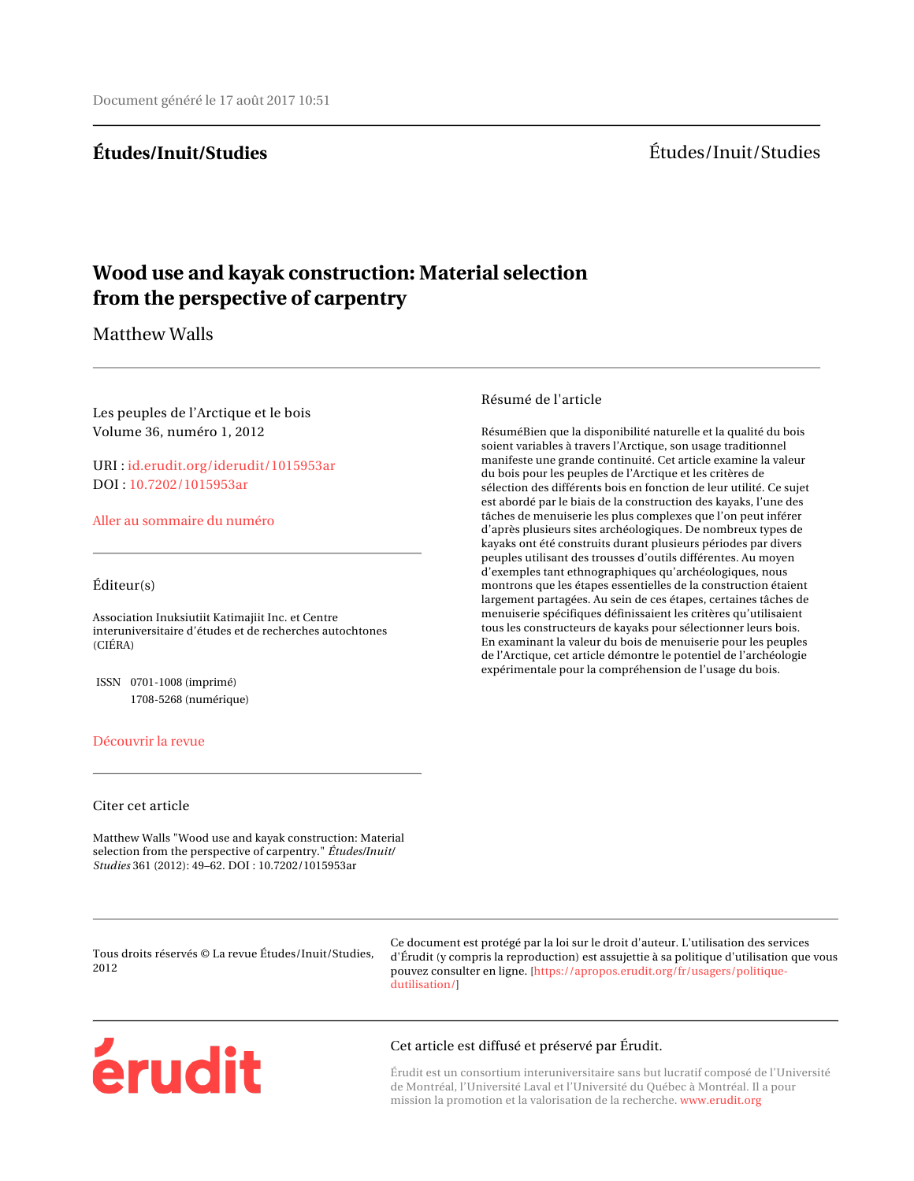#### Études/Inuit/Studies

#### Études/Inuit/Studies

# Wood use and kayak construction: Material selection from the perspective of carpentry

Matthew Walls

Les peuples de l'Arctique et le bois Volume 36, numéro 1, 2012

URI : [id.erudit.org/iderudit/1015953ar](https://id.erudit.org/iderudit/1015953ar) DOI : [10.7202/1015953ar](http://dx.doi.org/10.7202/1015953ar)

[Aller au sommaire du numéro](http://www.erudit.org/fr/revues/etudinuit/2012-v36-n1-etudinuit0584/)

#### Éditeur(s)

Association Inuksiutiit Katimajiit Inc. et Centre interuniversitaire d'études et de recherches autochtones (CIÉRA)

ISSN 0701-1008 (imprimé) 1708-5268 (numérique)

#### [Découvrir la revue](http://www.erudit.org/fr/revues/etudinuit/)

Résumé de l'article

RésuméBien que la disponibilité naturelle et la qualité du bois soient variables à travers l'Arctique, son usage traditionnel manifeste une grande continuité. Cet article examine la valeur du bois pour les peuples de l'Arctique et les critères de sélection des différents bois en fonction de leur utilité. Ce sujet est abordé par le biais de la construction des kayaks, l'une des tâches de menuiserie les plus complexes que l'on peut inférer d'après plusieurs sites archéologiques. De nombreux types de kayaks ont été construits durant plusieurs périodes par divers peuples utilisant des trousses d'outils différentes. Au moyen d'exemples tant ethnographiques qu'archéologiques, nous montrons que les étapes essentielles de la construction étaient largement partagées. Au sein de ces étapes, certaines tâches de menuiserie spécifiques définissaient les critères qu'utilisaient tous les constructeurs de kayaks pour sélectionner leurs bois. En examinant la valeur du bois de menuiserie pour les peuples de l'Arctique, cet article démontre le potentiel de l'archéologie expérimentale pour la compréhension de l'usage du bois.

#### Citer cet article

Matthew Walls "Wood use and kayak construction: Material selection from the perspective of carpentry." Études/Inuit/ Studies 361 (2012): 49–62. DOI : 10.7202/1015953ar

Tous droits réservés © La revue Études/Inuit/Studies, 2012

Ce document est protégé par la loi sur le droit d'auteur. L'utilisation des services d'Érudit (y compris la reproduction) est assujettie à sa politique d'utilisation que vous pouvez consulter en ligne. [[https://apropos.erudit.org/fr/usagers/politique](https://apropos.erudit.org/fr/usagers/politique-dutilisation/)[dutilisation/\]](https://apropos.erudit.org/fr/usagers/politique-dutilisation/)

# érudit

#### Cet article est diffusé et préservé par Érudit.

Érudit est un consortium interuniversitaire sans but lucratif composé de l'Université de Montréal, l'Université Laval et l'Université du Québec à Montréal. Il a pour mission la promotion et la valorisation de la recherche. [www.erudit.org](http://www.erudit.org)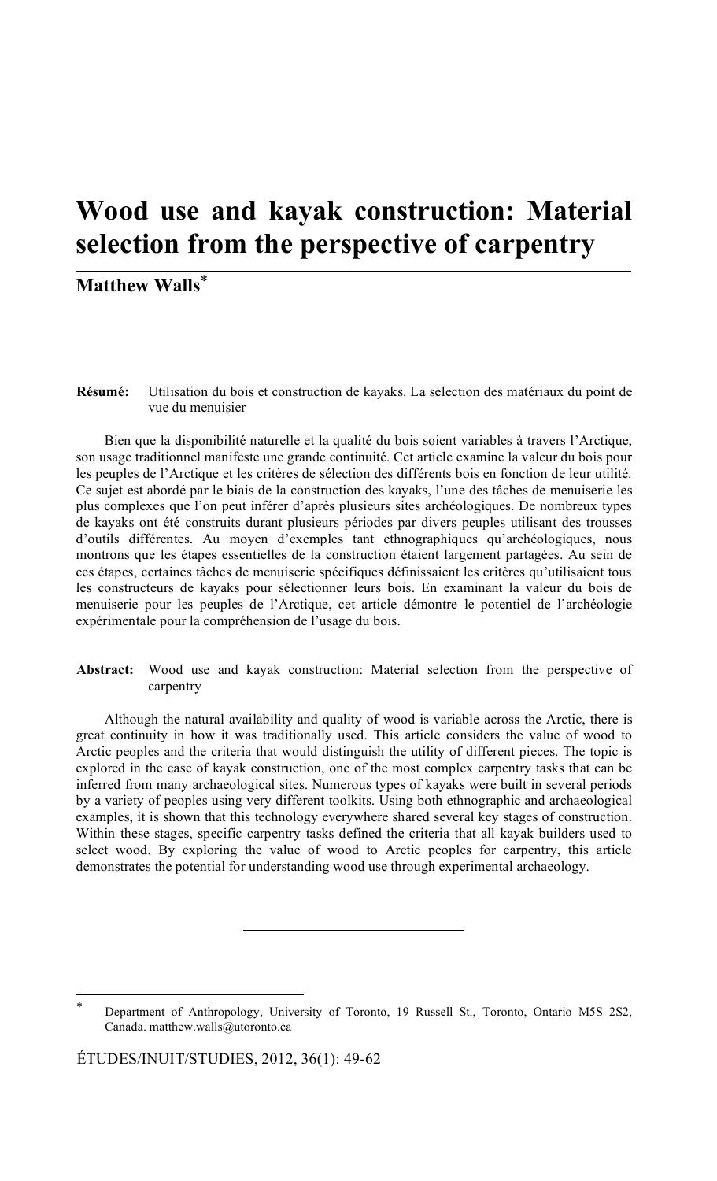# **Wood use and kayak construction: Material selection from the perspective of carpentry**

**Matthew Walls**\*

**Résumé:** Utilisation du bois et construction de kayaks. La sélection des matériaux du point de vue du menuisier

Bien que la disponibilité naturelle et la qualité du bois soient variables à travers l'Arctique, son usage traditionnel manifeste une grande continuité. Cet article examine la valeur du bois pour les peuples de l'Arctique et les critères de sélection des différents bois en fonction de leur utilité. Ce sujet est abordé par le biais de la construction des kayaks, l'une des tâches de menuiserie les plus complexes que l'on peut inférer d'après plusieurs sites archéologiques. De nombreux types de kayaks ont été construits durant plusieurs périodes par divers peuples utilisant des trousses d'outils différentes. Au moyen d'exemples tant ethnographiques qu'archéologiques, nous montrons que les étapes essentielles de la construction étaient largement partagées. Au sein de ces étapes, certaines tâches de menuiserie spécifiques définissaient les critères qu'utilisaient tous les constructeurs de kayaks pour sélectionner leurs bois. En examinant la valeur du bois de menuiserie pour les peuples de l'Arctique, cet article démontre le potentiel de l'archéologie expérimentale pour la compréhension de l'usage du bois.

**Abstract:** Wood use and kayak construction: Material selection from the perspective of carpentry

Although the natural availability and quality of wood is variable across the Arctic, there is great continuity in how it was traditionally used. This article considers the value of wood to Arctic peoples and the criteria that would distinguish the utility of different pieces. The topic is explored in the case of kayak construction, one of the most complex carpentry tasks that can be inferred from many archaeological sites. Numerous types of kayaks were built in several periods by a variety of peoples using very different toolkits. Using both ethnographic and archaeological examples, it is shown that this technology everywhere shared several key stages of construction. Within these stages, specific carpentry tasks defined the criteria that all kayak builders used to select wood. By exploring the value of wood to Arctic peoples for carpentry, this article demonstrates the potential for understanding wood use through experimental archaeology.

ÉTUDES/INUIT/STUDIES, 2012, 36(1): 49-62

 $\overline{a}$ 

Department of Anthropology, University of Toronto, 19 Russell St., Toronto, Ontario M5S 2S2, Canada. matthew.walls@utoronto.ca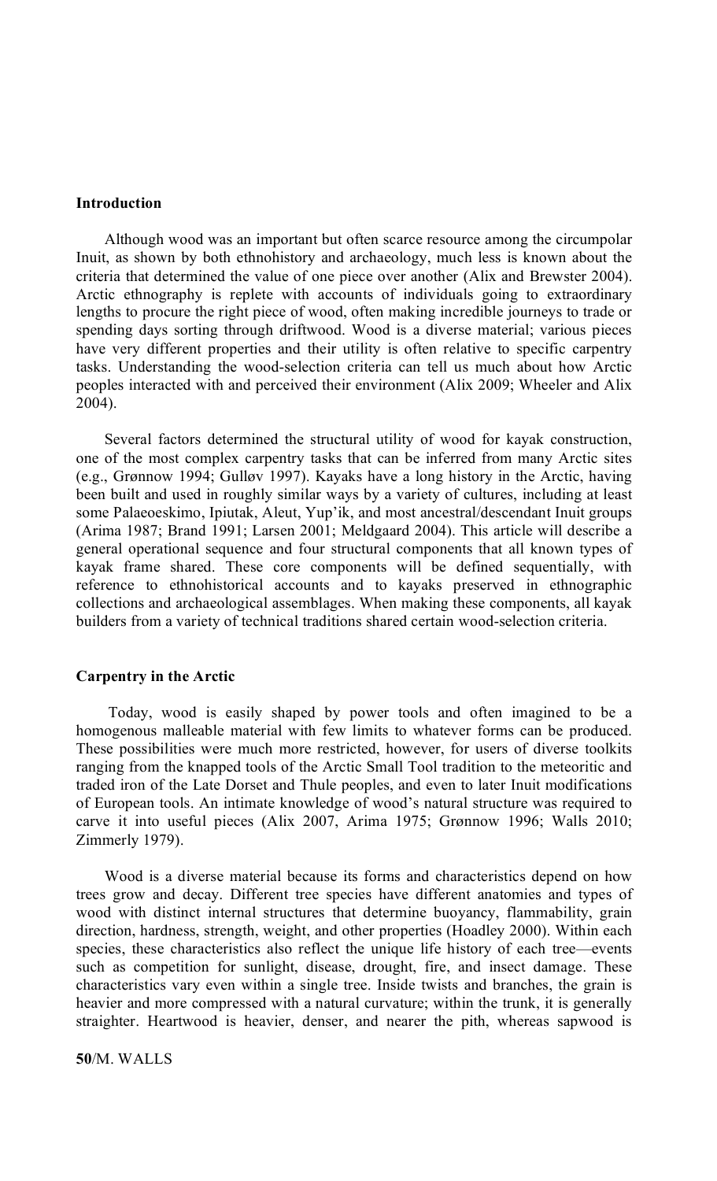#### **Introduction**

Although wood was an important but often scarce resource among the circumpolar Inuit, as shown by both ethnohistory and archaeology, much less is known about the criteria that determined the value of one piece over another (Alix and Brewster 2004). Arctic ethnography is replete with accounts of individuals going to extraordinary lengths to procure the right piece of wood, often making incredible journeys to trade or spending days sorting through driftwood. Wood is a diverse material; various pieces have very different properties and their utility is often relative to specific carpentry tasks. Understanding the wood-selection criteria can tell us much about how Arctic peoples interacted with and perceived their environment (Alix 2009; Wheeler and Alix 2004).

Several factors determined the structural utility of wood for kayak construction, one of the most complex carpentry tasks that can be inferred from many Arctic sites (e.g., Grønnow 1994; Gulløv 1997). Kayaks have a long history in the Arctic, having been built and used in roughly similar ways by a variety of cultures, including at least some Palaeoeskimo, Ipiutak, Aleut, Yup'ik, and most ancestral/descendant Inuit groups (Arima 1987; Brand 1991; Larsen 2001; Meldgaard 2004). This article will describe a general operational sequence and four structural components that all known types of kayak frame shared. These core components will be defined sequentially, with reference to ethnohistorical accounts and to kayaks preserved in ethnographic collections and archaeological assemblages. When making these components, all kayak builders from a variety of technical traditions shared certain wood-selection criteria.

#### **Carpentry in the Arctic**

 Today, wood is easily shaped by power tools and often imagined to be a homogenous malleable material with few limits to whatever forms can be produced. These possibilities were much more restricted, however, for users of diverse toolkits ranging from the knapped tools of the Arctic Small Tool tradition to the meteoritic and traded iron of the Late Dorset and Thule peoples, and even to later Inuit modifications of European tools. An intimate knowledge of wood's natural structure was required to carve it into useful pieces (Alix 2007, Arima 1975; Grønnow 1996; Walls 2010; Zimmerly 1979).

Wood is a diverse material because its forms and characteristics depend on how trees grow and decay. Different tree species have different anatomies and types of wood with distinct internal structures that determine buoyancy, flammability, grain direction, hardness, strength, weight, and other properties (Hoadley 2000). Within each species, these characteristics also reflect the unique life history of each tree—events such as competition for sunlight, disease, drought, fire, and insect damage. These characteristics vary even within a single tree. Inside twists and branches, the grain is heavier and more compressed with a natural curvature; within the trunk, it is generally straighter. Heartwood is heavier, denser, and nearer the pith, whereas sapwood is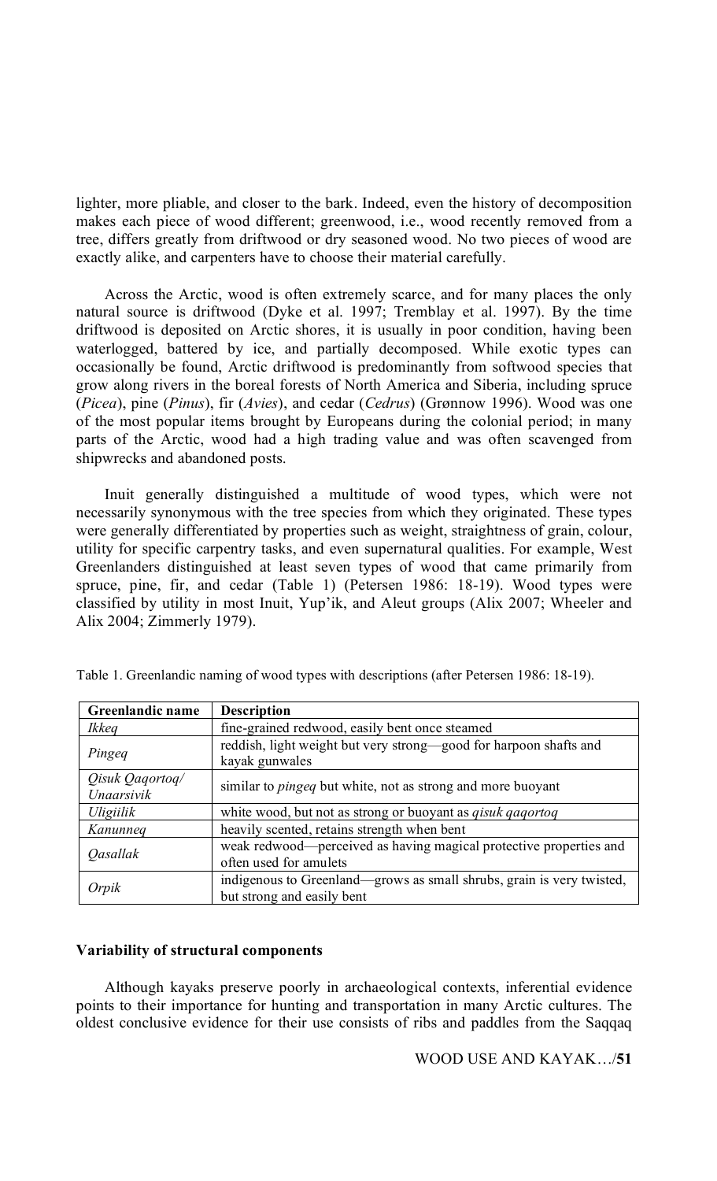lighter, more pliable, and closer to the bark. Indeed, even the history of decomposition makes each piece of wood different; greenwood, i.e., wood recently removed from a tree, differs greatly from driftwood or dry seasoned wood. No two pieces of wood are exactly alike, and carpenters have to choose their material carefully.

Across the Arctic, wood is often extremely scarce, and for many places the only natural source is driftwood (Dyke et al. 1997; Tremblay et al. 1997). By the time driftwood is deposited on Arctic shores, it is usually in poor condition, having been waterlogged, battered by ice, and partially decomposed. While exotic types can occasionally be found, Arctic driftwood is predominantly from softwood species that grow along rivers in the boreal forests of North America and Siberia, including spruce (*Picea*), pine (*Pinus*), fir (*Avies*), and cedar (*Cedrus*) (Grønnow 1996). Wood was one of the most popular items brought by Europeans during the colonial period; in many parts of the Arctic, wood had a high trading value and was often scavenged from shipwrecks and abandoned posts.

Inuit generally distinguished a multitude of wood types, which were not necessarily synonymous with the tree species from which they originated. These types were generally differentiated by properties such as weight, straightness of grain, colour, utility for specific carpentry tasks, and even supernatural qualities. For example, West Greenlanders distinguished at least seven types of wood that came primarily from spruce, pine, fir, and cedar (Table 1) (Petersen 1986: 18-19). Wood types were classified by utility in most Inuit, Yup'ik, and Aleut groups (Alix 2007; Wheeler and Alix 2004; Zimmerly 1979).

| Greenlandic name              | <b>Description</b>                                                                                  |  |  |  |
|-------------------------------|-----------------------------------------------------------------------------------------------------|--|--|--|
| <i>Ikkeq</i>                  | fine-grained redwood, easily bent once steamed                                                      |  |  |  |
| Pingeq                        | reddish, light weight but very strong—good for harpoon shafts and<br>kayak gunwales                 |  |  |  |
| Oisuk Qaqortoq/<br>Unaarsivik | similar to <i>pingeq</i> but white, not as strong and more buoyant                                  |  |  |  |
| Uligiilik                     | white wood, but not as strong or buoyant as <i>qisuk qaqortoq</i>                                   |  |  |  |
| Kanunneq                      | heavily scented, retains strength when bent                                                         |  |  |  |
| <i><b>Oasallak</b></i>        | weak redwood—perceived as having magical protective properties and<br>often used for amulets        |  |  |  |
| Orpik                         | indigenous to Greenland—grows as small shrubs, grain is very twisted,<br>but strong and easily bent |  |  |  |

Table 1. Greenlandic naming of wood types with descriptions (after Petersen 1986: 18-19).

#### **Variability of structural components**

Although kayaks preserve poorly in archaeological contexts, inferential evidence points to their importance for hunting and transportation in many Arctic cultures. The oldest conclusive evidence for their use consists of ribs and paddles from the Saqqaq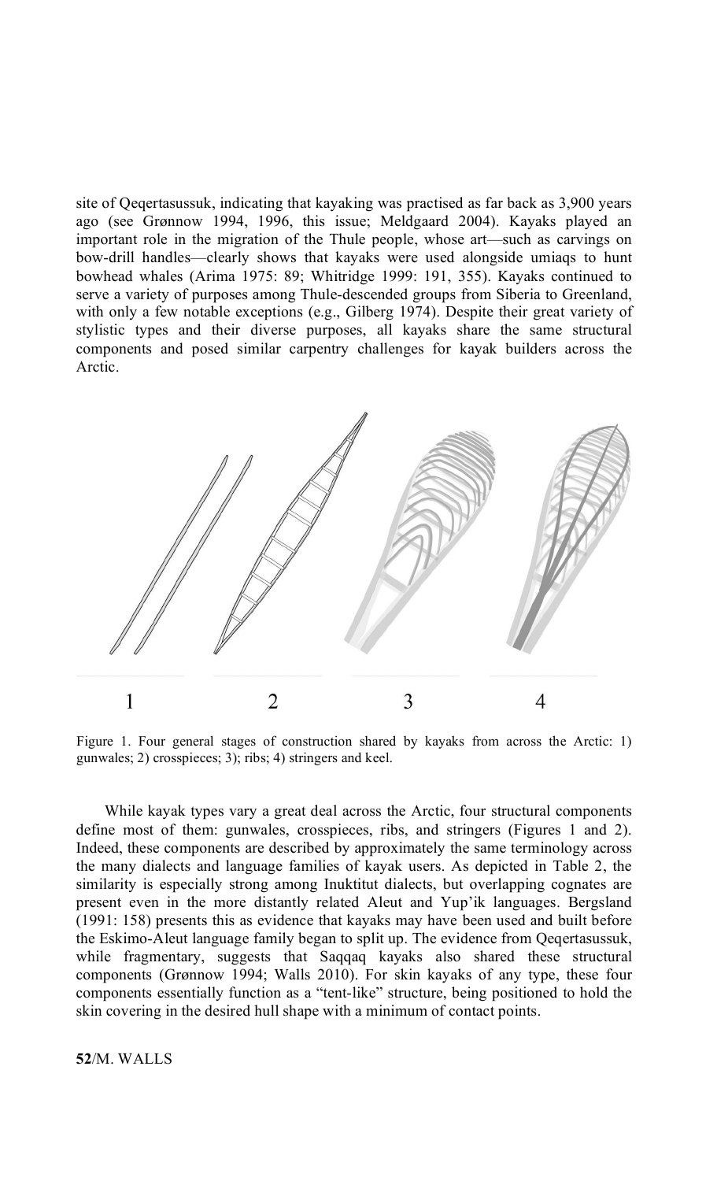site of Qeqertasussuk, indicating that kayaking was practised as far back as 3,900 years ago (see Grønnow 1994, 1996, this issue; Meldgaard 2004). Kayaks played an important role in the migration of the Thule people, whose art—such as carvings on bow-drill handles—clearly shows that kayaks were used alongside umiaqs to hunt bowhead whales (Arima 1975: 89; Whitridge 1999: 191, 355). Kayaks continued to serve a variety of purposes among Thule-descended groups from Siberia to Greenland, with only a few notable exceptions (e.g., Gilberg 1974). Despite their great variety of stylistic types and their diverse purposes, all kayaks share the same structural components and posed similar carpentry challenges for kayak builders across the Arctic.



Figure 1. Four general stages of construction shared by kayaks from across the Arctic: 1) gunwales; 2) crosspieces; 3); ribs; 4) stringers and keel.

While kayak types vary a great deal across the Arctic, four structural components define most of them: gunwales, crosspieces, ribs, and stringers (Figures 1 and 2). Indeed, these components are described by approximately the same terminology across the many dialects and language families of kayak users. As depicted in Table 2, the similarity is especially strong among Inuktitut dialects, but overlapping cognates are present even in the more distantly related Aleut and Yup'ik languages. Bergsland (1991: 158) presents this as evidence that kayaks may have been used and built before the Eskimo-Aleut language family began to split up. The evidence from Qeqertasussuk, while fragmentary, suggests that Saqqaq kayaks also shared these structural components (Grønnow 1994; Walls 2010). For skin kayaks of any type, these four components essentially function as a "tent-like" structure, being positioned to hold the skin covering in the desired hull shape with a minimum of contact points.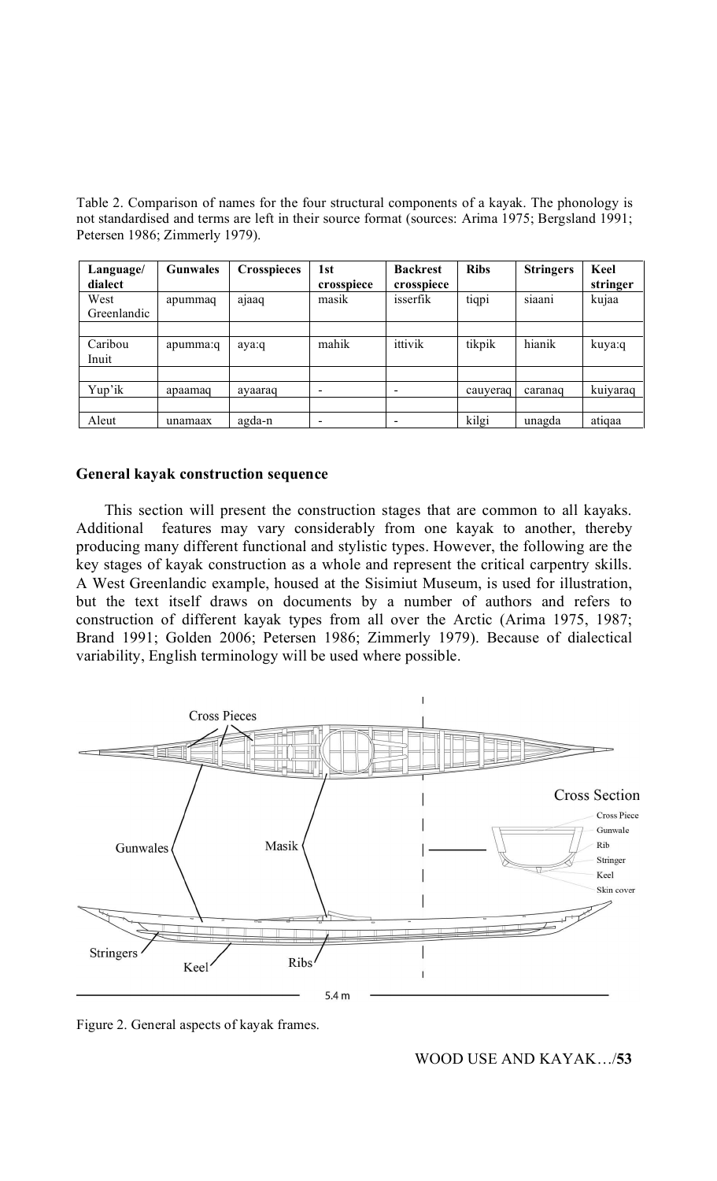Table 2. Comparison of names for the four structural components of a kayak. The phonology is not standardised and terms are left in their source format (sources: Arima 1975; Bergsland 1991; Petersen 1986; Zimmerly 1979).

| Language/<br>dialect | <b>Gunwales</b> | <b>Crosspieces</b> | 1st<br>crosspiece | <b>Backrest</b><br>crosspiece | <b>Ribs</b> | <b>Stringers</b> | Keel<br>stringer |
|----------------------|-----------------|--------------------|-------------------|-------------------------------|-------------|------------------|------------------|
| West<br>Greenlandic  | apummaq         | ajaaq              | masik             | isserfik                      | tiqpi       | siaani           | kujaa            |
|                      |                 |                    |                   |                               |             |                  |                  |
| Caribou<br>Inuit     | apumma:q        | aya:q              | mahik             | ittivik                       | tikpik      | hianik           | kuya:q           |
|                      |                 |                    |                   |                               |             |                  |                  |
| Yup'ik               | apaamag         | ayaaraq            |                   |                               | cauverag    | caranag          | kuiyaraq         |
|                      |                 |                    |                   |                               |             |                  |                  |
| Aleut                | unamaax         | agda-n             | -                 |                               | kilgi       | unagda           | atiqaa           |

#### **General kayak construction sequence**

This section will present the construction stages that are common to all kayaks. Additional features may vary considerably from one kayak to another, thereby producing many different functional and stylistic types. However, the following are the key stages of kayak construction as a whole and represent the critical carpentry skills. A West Greenlandic example, housed at the Sisimiut Museum, is used for illustration, but the text itself draws on documents by a number of authors and refers to construction of different kayak types from all over the Arctic (Arima 1975, 1987; Brand 1991; Golden 2006; Petersen 1986; Zimmerly 1979). Because of dialectical variability, English terminology will be used where possible.



Figure 2. General aspects of kayak frames.

# WOOD USE AND KAYAK…/**53**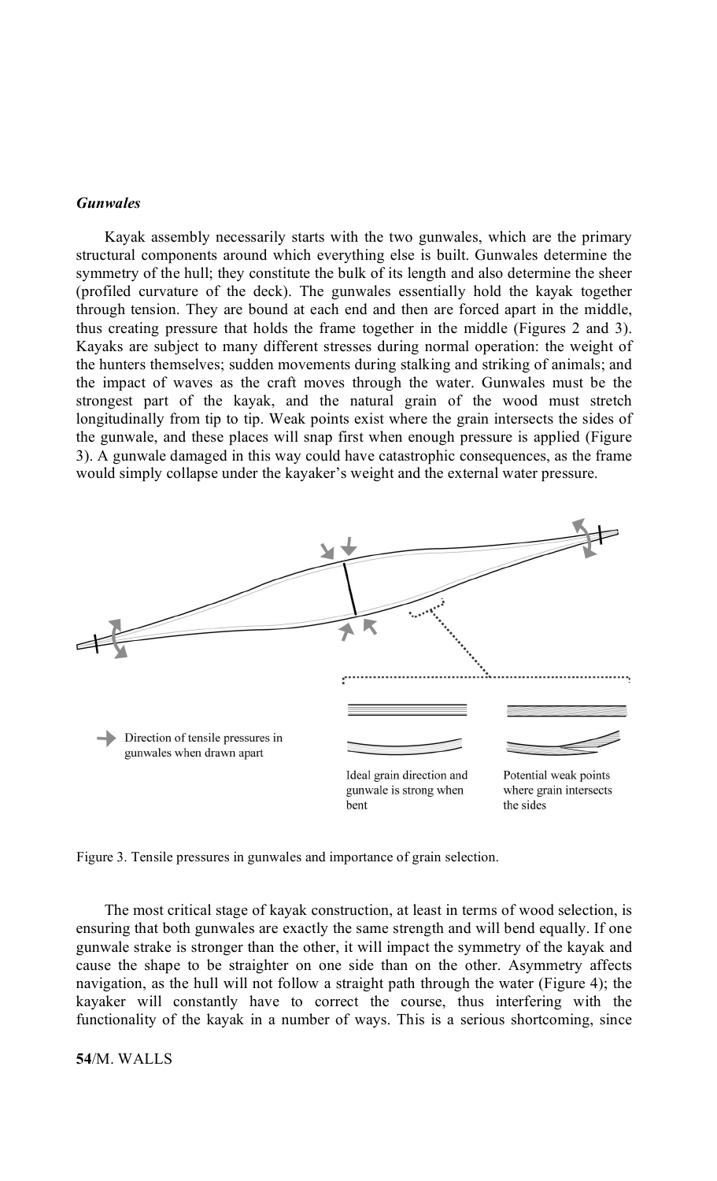#### *Gunwales*

Kayak assembly necessarily starts with the two gunwales, which are the primary structural components around which everything else is built. Gunwales determine the symmetry of the hull; they constitute the bulk of its length and also determine the sheer (profiled curvature of the deck). The gunwales essentially hold the kayak together through tension. They are bound at each end and then are forced apart in the middle, thus creating pressure that holds the frame together in the middle (Figures 2 and 3). Kayaks are subject to many different stresses during normal operation: the weight of the hunters themselves; sudden movements during stalking and striking of animals; and the impact of waves as the craft moves through the water. Gunwales must be the strongest part of the kayak, and the natural grain of the wood must stretch longitudinally from tip to tip. Weak points exist where the grain intersects the sides of the gunwale, and these places will snap first when enough pressure is applied (Figure 3). A gunwale damaged in this way could have catastrophic consequences, as the frame would simply collapse under the kayaker's weight and the external water pressure.



Figure 3. Tensile pressures in gunwales and importance of grain selection.

The most critical stage of kayak construction, at least in terms of wood selection, is ensuring that both gunwales are exactly the same strength and will bend equally. If one gunwale strake is stronger than the other, it will impact the symmetry of the kayak and cause the shape to be straighter on one side than on the other. Asymmetry affects navigation, as the hull will not follow a straight path through the water (Figure 4); the kayaker will constantly have to correct the course, thus interfering with the functionality of the kayak in a number of ways. This is a serious shortcoming, since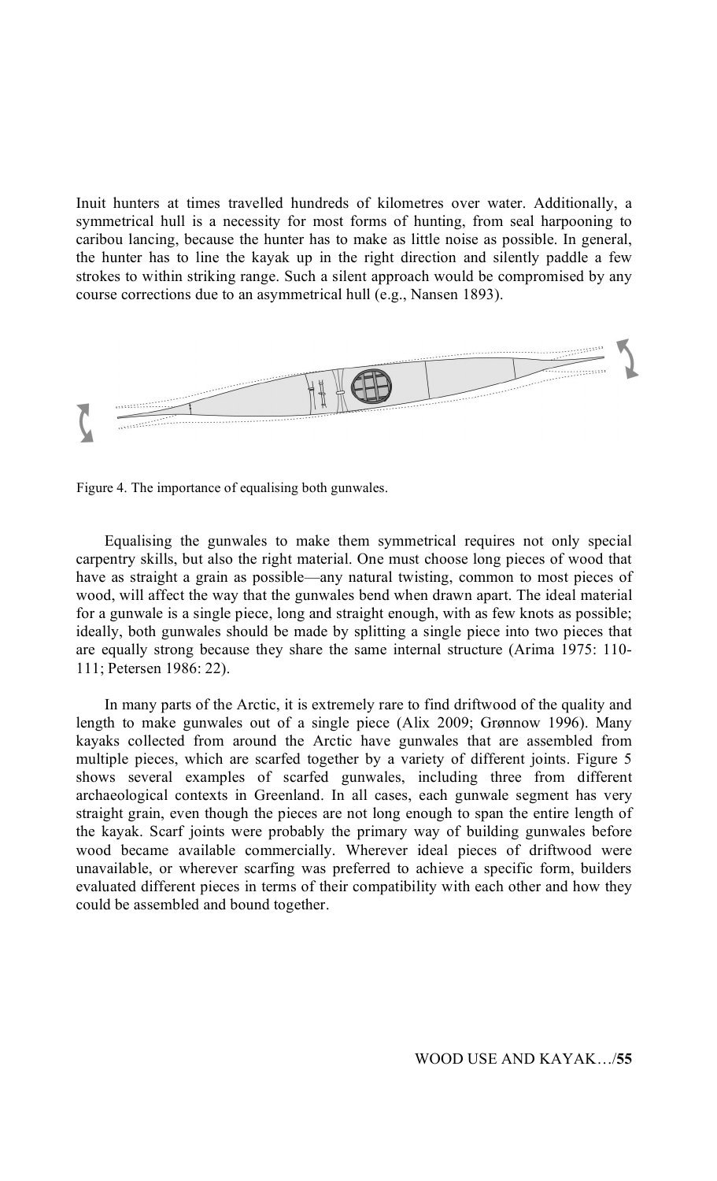Inuit hunters at times travelled hundreds of kilometres over water. Additionally, a symmetrical hull is a necessity for most forms of hunting, from seal harpooning to caribou lancing, because the hunter has to make as little noise as possible. In general, the hunter has to line the kayak up in the right direction and silently paddle a few strokes to within striking range. Such a silent approach would be compromised by any course corrections due to an asymmetrical hull (e.g., Nansen 1893).



Figure 4. The importance of equalising both gunwales.

Equalising the gunwales to make them symmetrical requires not only special carpentry skills, but also the right material. One must choose long pieces of wood that have as straight a grain as possible—any natural twisting, common to most pieces of wood, will affect the way that the gunwales bend when drawn apart. The ideal material for a gunwale is a single piece, long and straight enough, with as few knots as possible; ideally, both gunwales should be made by splitting a single piece into two pieces that are equally strong because they share the same internal structure (Arima 1975: 110- 111; Petersen 1986: 22).

In many parts of the Arctic, it is extremely rare to find driftwood of the quality and length to make gunwales out of a single piece (Alix 2009; Grønnow 1996). Many kayaks collected from around the Arctic have gunwales that are assembled from multiple pieces, which are scarfed together by a variety of different joints. Figure 5 shows several examples of scarfed gunwales, including three from different archaeological contexts in Greenland. In all cases, each gunwale segment has very straight grain, even though the pieces are not long enough to span the entire length of the kayak. Scarf joints were probably the primary way of building gunwales before wood became available commercially. Wherever ideal pieces of driftwood were unavailable, or wherever scarfing was preferred to achieve a specific form, builders evaluated different pieces in terms of their compatibility with each other and how they could be assembled and bound together.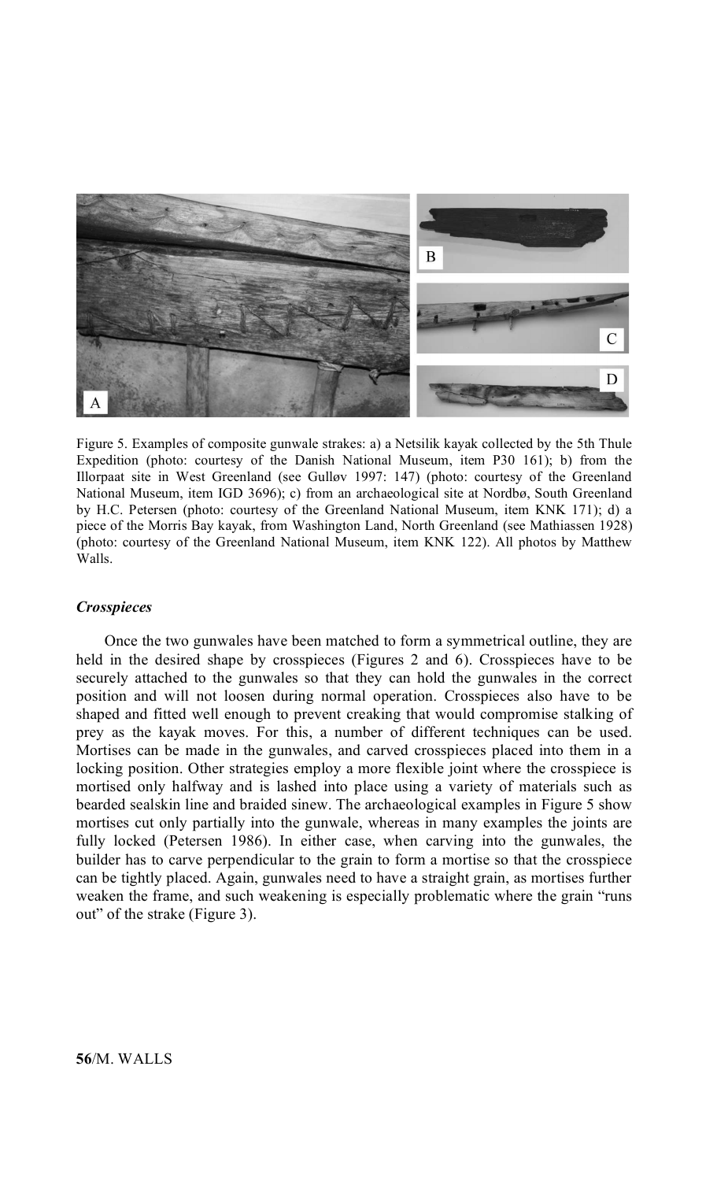

Figure 5. Examples of composite gunwale strakes: a) a Netsilik kayak collected by the 5th Thule Expedition (photo: courtesy of the Danish National Museum, item P30 161); b) from the Illorpaat site in West Greenland (see Gulløv 1997: 147) (photo: courtesy of the Greenland National Museum, item IGD 3696); c) from an archaeological site at Nordbø, South Greenland by H.C. Petersen (photo: courtesy of the Greenland National Museum, item KNK 171); d) a piece of the Morris Bay kayak, from Washington Land, North Greenland (see Mathiassen 1928) (photo: courtesy of the Greenland National Museum, item KNK 122). All photos by Matthew Walls.

# *Crosspieces*

Once the two gunwales have been matched to form a symmetrical outline, they are held in the desired shape by crosspieces (Figures 2 and 6). Crosspieces have to be securely attached to the gunwales so that they can hold the gunwales in the correct position and will not loosen during normal operation. Crosspieces also have to be shaped and fitted well enough to prevent creaking that would compromise stalking of prey as the kayak moves. For this, a number of different techniques can be used. Mortises can be made in the gunwales, and carved crosspieces placed into them in a locking position. Other strategies employ a more flexible joint where the crosspiece is mortised only halfway and is lashed into place using a variety of materials such as bearded sealskin line and braided sinew. The archaeological examples in Figure 5 show mortises cut only partially into the gunwale, whereas in many examples the joints are fully locked (Petersen 1986). In either case, when carving into the gunwales, the builder has to carve perpendicular to the grain to form a mortise so that the crosspiece can be tightly placed. Again, gunwales need to have a straight grain, as mortises further weaken the frame, and such weakening is especially problematic where the grain "runs out" of the strake (Figure 3).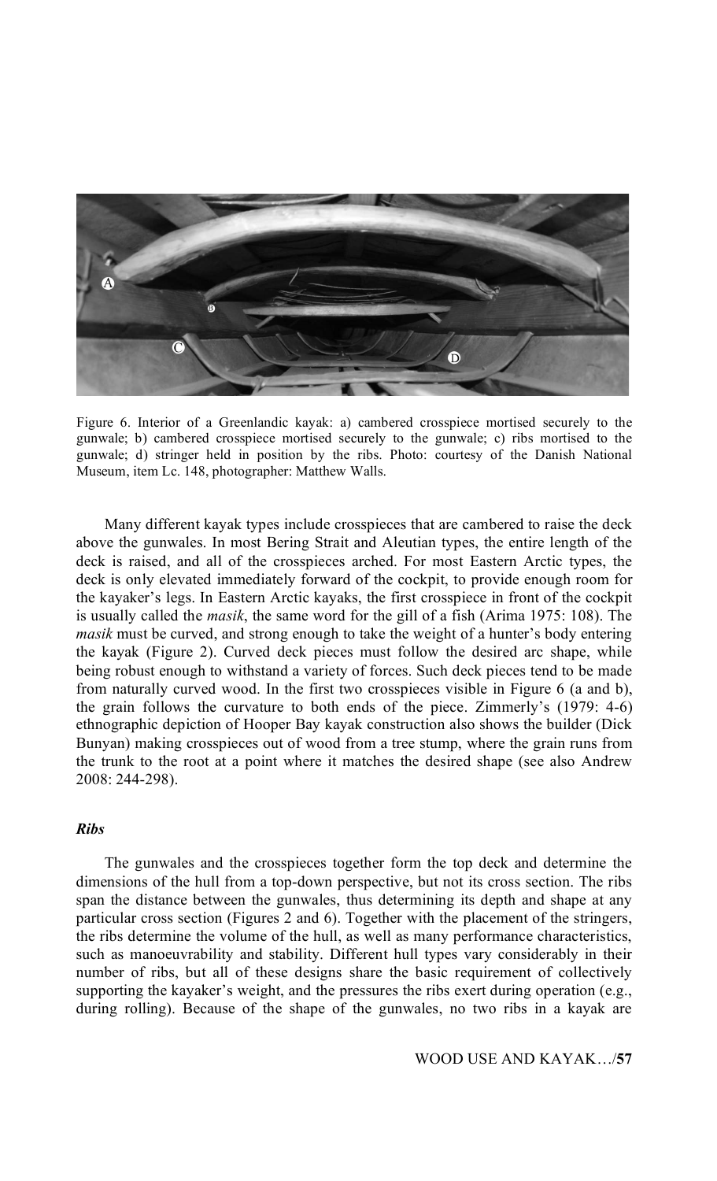

Figure 6. Interior of a Greenlandic kayak: a) cambered crosspiece mortised securely to the gunwale; b) cambered crosspiece mortised securely to the gunwale; c) ribs mortised to the gunwale; d) stringer held in position by the ribs. Photo: courtesy of the Danish National Museum, item Lc. 148, photographer: Matthew Walls.

Many different kayak types include crosspieces that are cambered to raise the deck above the gunwales. In most Bering Strait and Aleutian types, the entire length of the deck is raised, and all of the crosspieces arched. For most Eastern Arctic types, the deck is only elevated immediately forward of the cockpit, to provide enough room for the kayaker's legs. In Eastern Arctic kayaks, the first crosspiece in front of the cockpit is usually called the *masik*, the same word for the gill of a fish (Arima 1975: 108). The *masik* must be curved, and strong enough to take the weight of a hunter's body entering the kayak (Figure 2). Curved deck pieces must follow the desired arc shape, while being robust enough to withstand a variety of forces. Such deck pieces tend to be made from naturally curved wood. In the first two crosspieces visible in Figure 6 (a and b), the grain follows the curvature to both ends of the piece. Zimmerly's (1979: 4-6) ethnographic depiction of Hooper Bay kayak construction also shows the builder (Dick Bunyan) making crosspieces out of wood from a tree stump, where the grain runs from the trunk to the root at a point where it matches the desired shape (see also Andrew 2008: 244-298).

#### *Ribs*

The gunwales and the crosspieces together form the top deck and determine the dimensions of the hull from a top-down perspective, but not its cross section. The ribs span the distance between the gunwales, thus determining its depth and shape at any particular cross section (Figures 2 and 6). Together with the placement of the stringers, the ribs determine the volume of the hull, as well as many performance characteristics, such as manoeuvrability and stability. Different hull types vary considerably in their number of ribs, but all of these designs share the basic requirement of collectively supporting the kayaker's weight, and the pressures the ribs exert during operation (e.g., during rolling). Because of the shape of the gunwales, no two ribs in a kayak are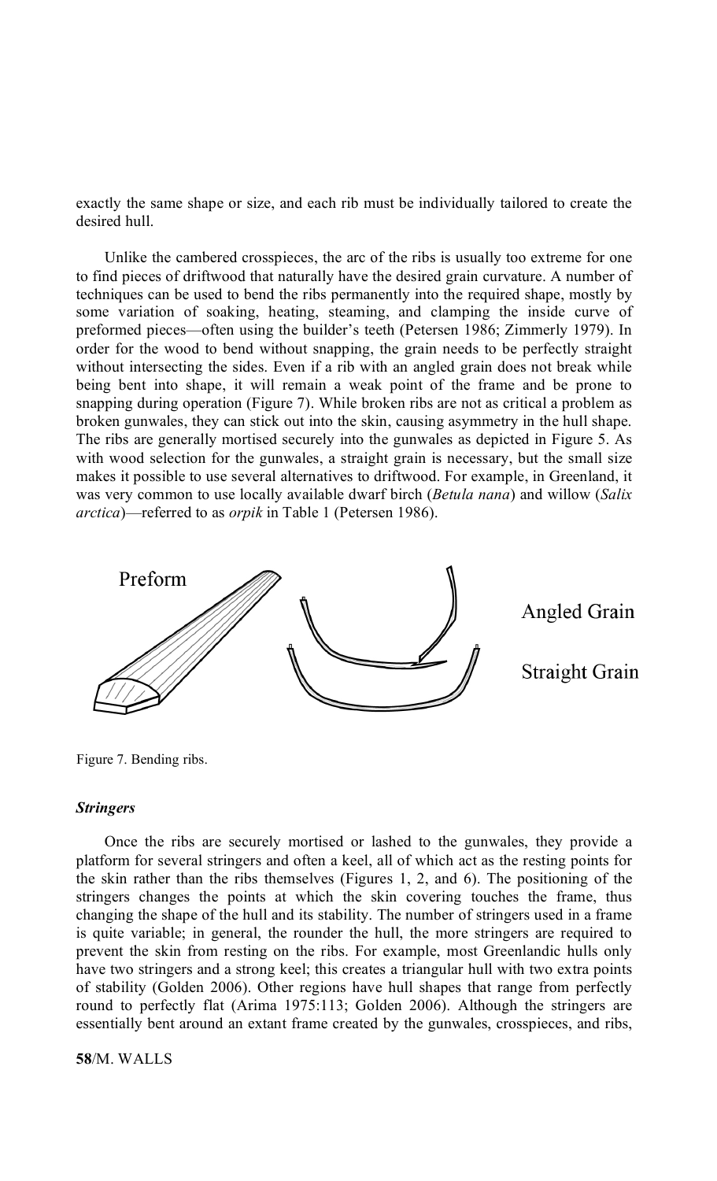exactly the same shape or size, and each rib must be individually tailored to create the desired hull.

Unlike the cambered crosspieces, the arc of the ribs is usually too extreme for one to find pieces of driftwood that naturally have the desired grain curvature. A number of techniques can be used to bend the ribs permanently into the required shape, mostly by some variation of soaking, heating, steaming, and clamping the inside curve of preformed pieces—often using the builder's teeth (Petersen 1986; Zimmerly 1979). In order for the wood to bend without snapping, the grain needs to be perfectly straight without intersecting the sides. Even if a rib with an angled grain does not break while being bent into shape, it will remain a weak point of the frame and be prone to snapping during operation (Figure 7). While broken ribs are not as critical a problem as broken gunwales, they can stick out into the skin, causing asymmetry in the hull shape. The ribs are generally mortised securely into the gunwales as depicted in Figure 5. As with wood selection for the gunwales, a straight grain is necessary, but the small size makes it possible to use several alternatives to driftwood. For example, in Greenland, it was very common to use locally available dwarf birch (*Betula nana*) and willow (*Salix arctica*)—referred to as *orpik* in Table 1 (Petersen 1986).



Figure 7. Bending ribs.

#### *Stringers*

Once the ribs are securely mortised or lashed to the gunwales, they provide a platform for several stringers and often a keel, all of which act as the resting points for the skin rather than the ribs themselves (Figures 1, 2, and 6). The positioning of the stringers changes the points at which the skin covering touches the frame, thus changing the shape of the hull and its stability. The number of stringers used in a frame is quite variable; in general, the rounder the hull, the more stringers are required to prevent the skin from resting on the ribs. For example, most Greenlandic hulls only have two stringers and a strong keel; this creates a triangular hull with two extra points of stability (Golden 2006). Other regions have hull shapes that range from perfectly round to perfectly flat (Arima 1975:113; Golden 2006). Although the stringers are essentially bent around an extant frame created by the gunwales, crosspieces, and ribs,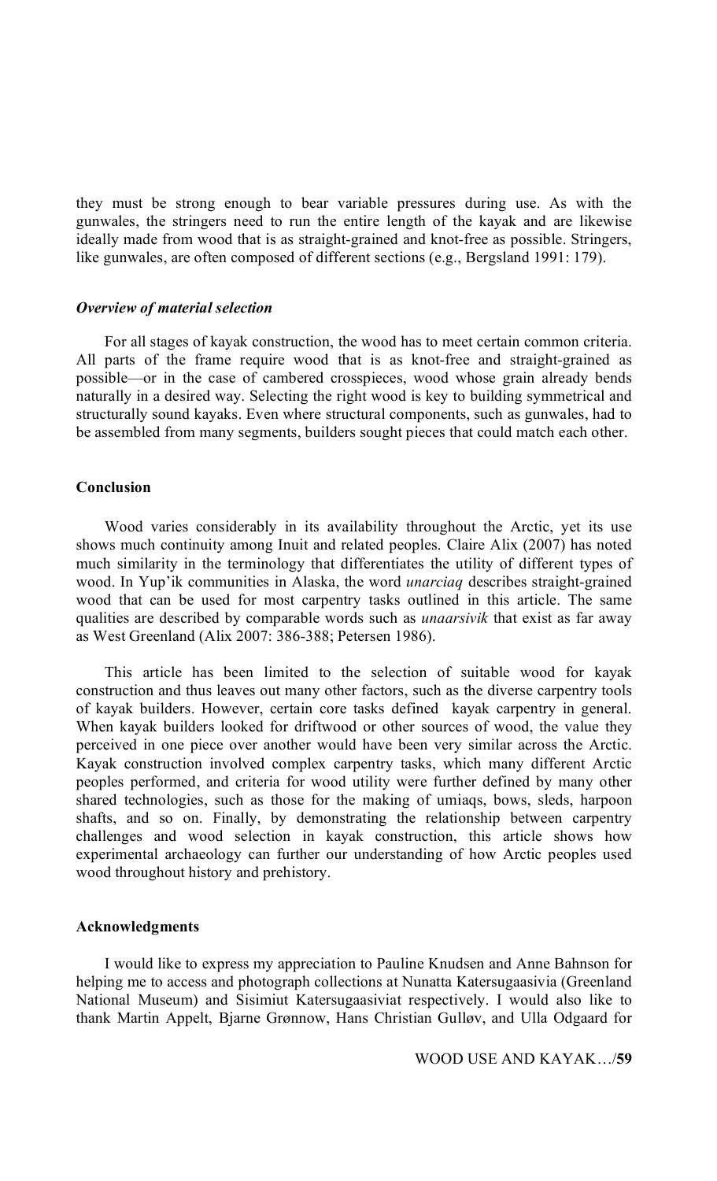they must be strong enough to bear variable pressures during use. As with the gunwales, the stringers need to run the entire length of the kayak and are likewise ideally made from wood that is as straight-grained and knot-free as possible. Stringers, like gunwales, are often composed of different sections (e.g., Bergsland 1991: 179).

#### *Overview of material selection*

For all stages of kayak construction, the wood has to meet certain common criteria. All parts of the frame require wood that is as knot-free and straight-grained as possible—or in the case of cambered crosspieces, wood whose grain already bends naturally in a desired way. Selecting the right wood is key to building symmetrical and structurally sound kayaks. Even where structural components, such as gunwales, had to be assembled from many segments, builders sought pieces that could match each other.

#### **Conclusion**

Wood varies considerably in its availability throughout the Arctic, yet its use shows much continuity among Inuit and related peoples. Claire Alix (2007) has noted much similarity in the terminology that differentiates the utility of different types of wood. In Yup'ik communities in Alaska, the word *unarciaq* describes straight-grained wood that can be used for most carpentry tasks outlined in this article. The same qualities are described by comparable words such as *unaarsivik* that exist as far away as West Greenland (Alix 2007: 386-388; Petersen 1986).

This article has been limited to the selection of suitable wood for kayak construction and thus leaves out many other factors, such as the diverse carpentry tools of kayak builders. However, certain core tasks defined kayak carpentry in general. When kayak builders looked for driftwood or other sources of wood, the value they perceived in one piece over another would have been very similar across the Arctic. Kayak construction involved complex carpentry tasks, which many different Arctic peoples performed, and criteria for wood utility were further defined by many other shared technologies, such as those for the making of umiaqs, bows, sleds, harpoon shafts, and so on. Finally, by demonstrating the relationship between carpentry challenges and wood selection in kayak construction, this article shows how experimental archaeology can further our understanding of how Arctic peoples used wood throughout history and prehistory.

#### **Acknowledgments**

I would like to express my appreciation to Pauline Knudsen and Anne Bahnson for helping me to access and photograph collections at Nunatta Katersugaasivia (Greenland National Museum) and Sisimiut Katersugaasiviat respectively. I would also like to thank Martin Appelt, Bjarne Grønnow, Hans Christian Gulløv, and Ulla Odgaard for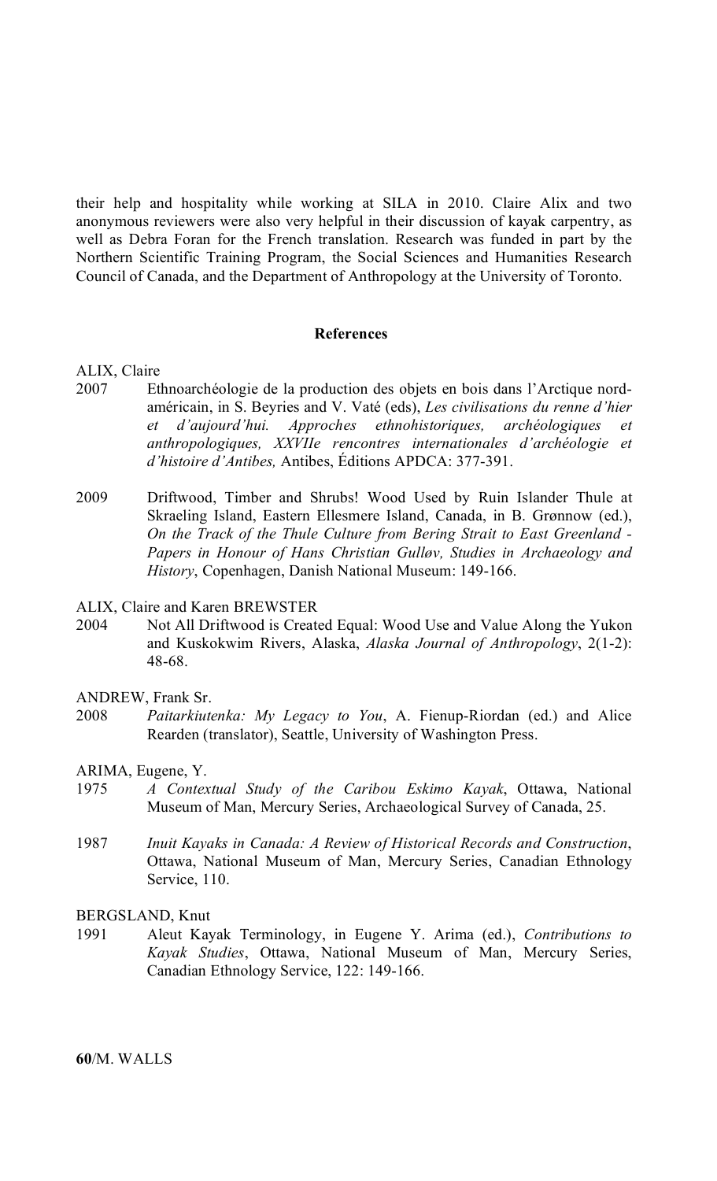their help and hospitality while working at SILA in 2010. Claire Alix and two anonymous reviewers were also very helpful in their discussion of kayak carpentry, as well as Debra Foran for the French translation. Research was funded in part by the Northern Scientific Training Program, the Social Sciences and Humanities Research Council of Canada, and the Department of Anthropology at the University of Toronto.

#### **References**

#### ALIX, Claire

- 2007 Ethnoarchéologie de la production des objets en bois dans l'Arctique nordaméricain, in S. Beyries and V. Vaté (eds), *Les civilisations du renne d'hier et d'aujourd'hui. Approches ethnohistoriques, archéologiques et anthropologiques, XXVIIe rencontres internationales d'archéologie et d'histoire d'Antibes,* Antibes, Éditions APDCA: 377-391.
- 2009 Driftwood, Timber and Shrubs! Wood Used by Ruin Islander Thule at Skraeling Island, Eastern Ellesmere Island, Canada, in B. Grønnow (ed.), *On the Track of the Thule Culture from Bering Strait to East Greenland - Papers in Honour of Hans Christian Gulløv, Studies in Archaeology and History*, Copenhagen, Danish National Museum: 149-166.
- ALIX, Claire and Karen BREWSTER
- 2004 Not All Driftwood is Created Equal: Wood Use and Value Along the Yukon and Kuskokwim Rivers, Alaska, *Alaska Journal of Anthropology*, 2(1-2): 48-68.
- ANDREW, Frank Sr.
- 2008 *Paitarkiutenka: My Legacy to You*, A. Fienup-Riordan (ed.) and Alice Rearden (translator), Seattle, University of Washington Press.
- ARIMA, Eugene, Y.
- 1975 *A Contextual Study of the Caribou Eskimo Kayak*, Ottawa, National Museum of Man, Mercury Series, Archaeological Survey of Canada, 25.
- 1987 *Inuit Kayaks in Canada: A Review of Historical Records and Construction*, Ottawa, National Museum of Man, Mercury Series, Canadian Ethnology Service, 110.

BERGSLAND, Knut

1991 Aleut Kayak Terminology, in Eugene Y. Arima (ed.), *Contributions to Kayak Studies*, Ottawa, National Museum of Man, Mercury Series, Canadian Ethnology Service, 122: 149-166.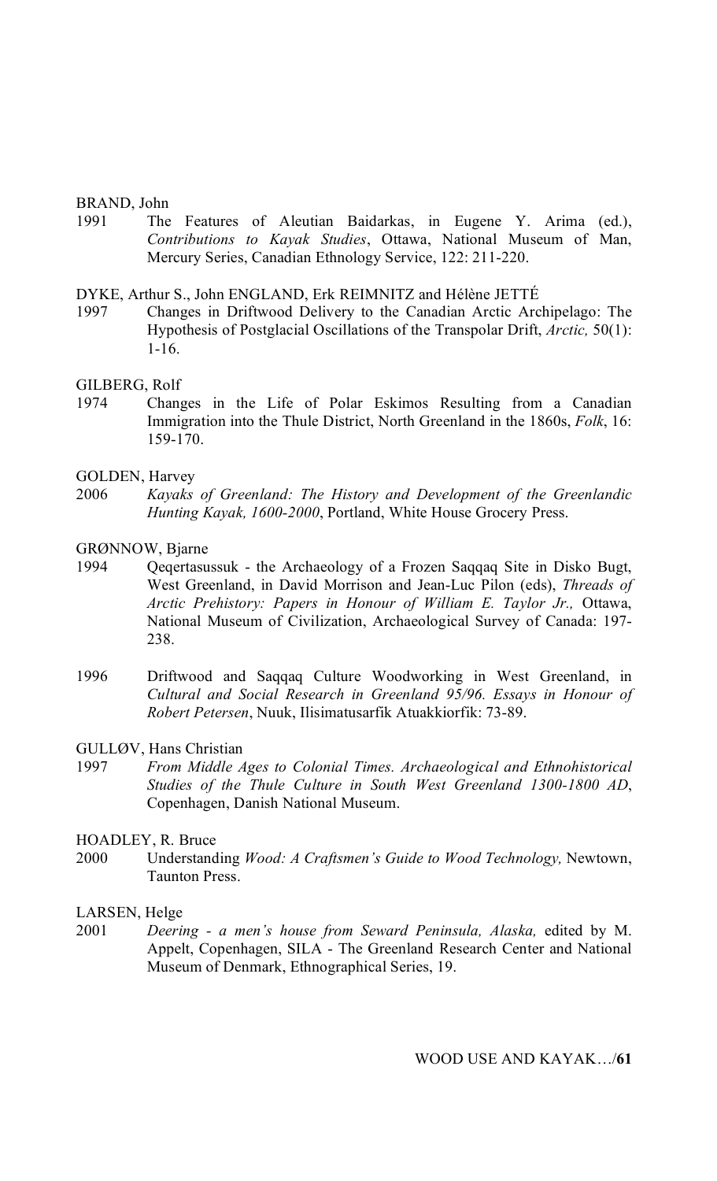# BRAND, John

1991 The Features of Aleutian Baidarkas, in Eugene Y. Arima (ed.), *Contributions to Kayak Studies*, Ottawa, National Museum of Man, Mercury Series, Canadian Ethnology Service, 122: 211-220.

DYKE, Arthur S., John ENGLAND, Erk REIMNITZ and Hélène JETTÉ

1997 Changes in Driftwood Delivery to the Canadian Arctic Archipelago: The Hypothesis of Postglacial Oscillations of the Transpolar Drift, *Arctic,* 50(1): 1-16.

#### GILBERG, Rolf

1974 Changes in the Life of Polar Eskimos Resulting from a Canadian Immigration into the Thule District, North Greenland in the 1860s, *Folk*, 16: 159-170.

#### GOLDEN, Harvey

- 2006 *Kayaks of Greenland: The History and Development of the Greenlandic Hunting Kayak, 1600-2000*, Portland, White House Grocery Press.
- GRØNNOW, Bjarne
- 1994 Qeqertasussuk the Archaeology of a Frozen Saqqaq Site in Disko Bugt, West Greenland, in David Morrison and Jean-Luc Pilon (eds), *Threads of Arctic Prehistory: Papers in Honour of William E. Taylor Jr.,* Ottawa, National Museum of Civilization, Archaeological Survey of Canada: 197- 238.
- 1996 Driftwood and Saqqaq Culture Woodworking in West Greenland, in *Cultural and Social Research in Greenland 95/96. Essays in Honour of Robert Petersen*, Nuuk, Ilisimatusarfik Atuakkiorfik: 73-89.
- GULLØV, Hans Christian
- 1997 *From Middle Ages to Colonial Times. Archaeological and Ethnohistorical Studies of the Thule Culture in South West Greenland 1300-1800 AD*, Copenhagen, Danish National Museum.
- HOADLEY, R. Bruce
- 2000 Understanding *Wood: A Craftsmen's Guide to Wood Technology,* Newtown, Taunton Press.

#### LARSEN, Helge

2001 *Deering - a men's house from Seward Peninsula, Alaska,* edited by M. Appelt, Copenhagen, SILA - The Greenland Research Center and National Museum of Denmark, Ethnographical Series, 19.